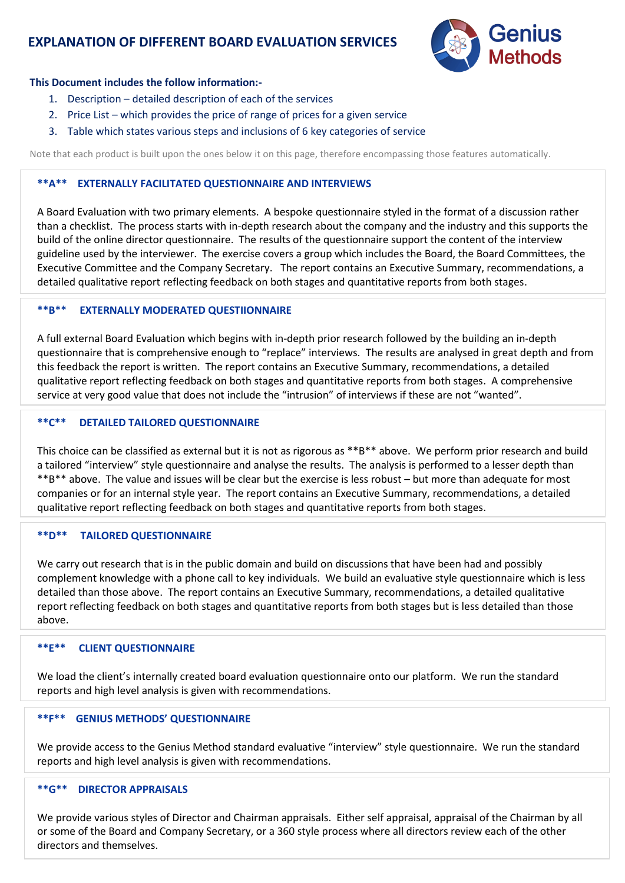# **EXPLANATION OF DIFFERENT BOARD EVALUATION SERVICES**



#### **This Document includes the follow information:-**

- 1. Description detailed description of each of the services
- 2. Price List which provides the price of range of prices for a given service
- 3. Table which states various steps and inclusions of 6 key categories of service

Note that each product is built upon the ones below it on this page, therefore encompassing those features automatically.

## **\*\*A\*\* EXTERNALLY FACILITATED QUESTIONNAIRE AND INTERVIEWS**

A Board Evaluation with two primary elements. A bespoke questionnaire styled in the format of a discussion rather than a checklist. The process starts with in-depth research about the company and the industry and this supports the build of the online director questionnaire. The results of the questionnaire support the content of the interview guideline used by the interviewer. The exercise covers a group which includes the Board, the Board Committees, the Executive Committee and the Company Secretary. The report contains an Executive Summary, recommendations, a detailed qualitative report reflecting feedback on both stages and quantitative reports from both stages.

### **\*\*B\*\* EXTERNALLY MODERATED QUESTIIONNAIRE**

A full external Board Evaluation which begins with in-depth prior research followed by the building an in-depth questionnaire that is comprehensive enough to "replace" interviews. The results are analysed in great depth and from this feedback the report is written. The report contains an Executive Summary, recommendations, a detailed qualitative report reflecting feedback on both stages and quantitative reports from both stages. A comprehensive service at very good value that does not include the "intrusion" of interviews if these are not "wanted".

### **\*\*C\*\* DETAILED TAILORED QUESTIONNAIRE**

This choice can be classified as external but it is not as rigorous as \*\*B\*\* above. We perform prior research and build a tailored "interview" style questionnaire and analyse the results. The analysis is performed to a lesser depth than \*\*B\*\* above. The value and issues will be clear but the exercise is less robust – but more than adequate for most companies or for an internal style year. The report contains an Executive Summary, recommendations, a detailed qualitative report reflecting feedback on both stages and quantitative reports from both stages.

#### **\*\*D\*\* TAILORED QUESTIONNAIRE**

We carry out research that is in the public domain and build on discussions that have been had and possibly complement knowledge with a phone call to key individuals. We build an evaluative style questionnaire which is less detailed than those above. The report contains an Executive Summary, recommendations, a detailed qualitative report reflecting feedback on both stages and quantitative reports from both stages but is less detailed than those above.

#### **\*\*E\*\* CLIENT QUESTIONNAIRE**

We load the client's internally created board evaluation questionnaire onto our platform. We run the standard reports and high level analysis is given with recommendations.

# **\*\*F\*\* GENIUS METHODS' QUESTIONNAIRE**

We provide access to the Genius Method standard evaluative "interview" style questionnaire. We run the standard reports and high level analysis is given with recommendations.

# **\*\*G\*\* DIRECTOR APPRAISALS**

We provide various styles of Director and Chairman appraisals. Either self appraisal, appraisal of the Chairman by all or some of the Board and Company Secretary, or a 360 style process where all directors review each of the other directors and themselves.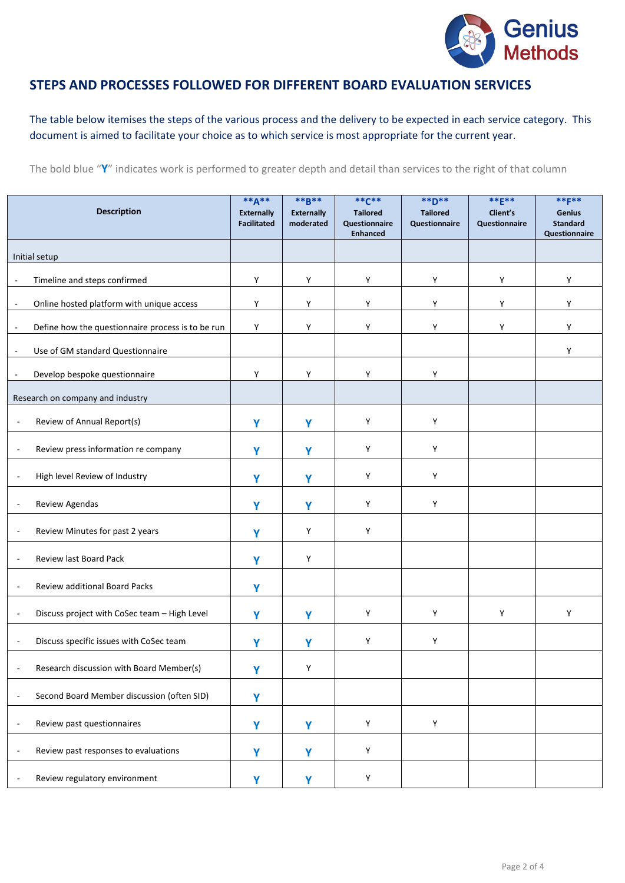

# **STEPS AND PROCESSES FOLLOWED FOR DIFFERENT BOARD EVALUATION SERVICES**

The table below itemises the steps of the various process and the delivery to be expected in each service category. This document is aimed to facilitate your choice as to which service is most appropriate for the current year.

The bold blue "**Y**" indicates work is performed to greater depth and detail than services to the right of that column

| <b>Description</b>                                                            | ** $A***$<br><b>Externally</b><br><b>Facilitated</b> | **B**<br><b>Externally</b><br>moderated | $*$ $*$ $C$ $*$<br><b>Tailored</b><br>Questionnaire<br><b>Enhanced</b> | **D**<br><b>Tailored</b><br><b>Questionnaire</b> | ** $E^*$ *<br>Client's<br>Questionnaire | ** <b>F**</b><br><b>Genius</b><br><b>Standard</b><br>Questionnaire |
|-------------------------------------------------------------------------------|------------------------------------------------------|-----------------------------------------|------------------------------------------------------------------------|--------------------------------------------------|-----------------------------------------|--------------------------------------------------------------------|
| Initial setup                                                                 |                                                      |                                         |                                                                        |                                                  |                                         |                                                                    |
| Timeline and steps confirmed<br>$\overline{\phantom{a}}$                      | Y                                                    | Y                                       | Y                                                                      | Υ                                                | Y                                       | Υ                                                                  |
| Online hosted platform with unique access<br>÷,                               | Y                                                    | Y                                       | Y                                                                      | Υ                                                | Y                                       | Υ                                                                  |
| Define how the questionnaire process is to be run<br>$\overline{\phantom{a}}$ | Y                                                    | Y                                       | Υ                                                                      | Υ                                                | Y                                       | Y                                                                  |
| Use of GM standard Questionnaire                                              |                                                      |                                         |                                                                        |                                                  |                                         | Υ                                                                  |
| Develop bespoke questionnaire<br>$\overline{\phantom{a}}$                     | Y                                                    | Y                                       | Y                                                                      | Υ                                                |                                         |                                                                    |
| Research on company and industry                                              |                                                      |                                         |                                                                        |                                                  |                                         |                                                                    |
| Review of Annual Report(s)<br>÷,                                              | Y                                                    | Y                                       | Y                                                                      | Y                                                |                                         |                                                                    |
| Review press information re company<br>÷,                                     | Y                                                    | Y                                       | Y                                                                      | Y                                                |                                         |                                                                    |
| High level Review of Industry<br>÷,                                           | Y                                                    | Y                                       | Y                                                                      | Y                                                |                                         |                                                                    |
| Review Agendas<br>$\overline{a}$                                              | Υ                                                    | Y                                       | Y                                                                      | Υ                                                |                                         |                                                                    |
| Review Minutes for past 2 years<br>$\overline{\phantom{a}}$                   | Y                                                    | Y                                       | Y                                                                      |                                                  |                                         |                                                                    |
| Review last Board Pack<br>$\overline{\phantom{a}}$                            | Y                                                    | $\mathsf Y$                             |                                                                        |                                                  |                                         |                                                                    |
| Review additional Board Packs<br>$\overline{\phantom{a}}$                     | Y                                                    |                                         |                                                                        |                                                  |                                         |                                                                    |
| Discuss project with CoSec team - High Level<br>$\overline{a}$                | Y                                                    | Y                                       | Y                                                                      | Y                                                | Y                                       | Υ                                                                  |
| Discuss specific issues with CoSec team                                       | Υ                                                    | Y                                       | Υ                                                                      | Υ                                                |                                         |                                                                    |
| Research discussion with Board Member(s)                                      | Y                                                    | Y                                       |                                                                        |                                                  |                                         |                                                                    |
| Second Board Member discussion (often SID)<br>÷,                              | Y                                                    |                                         |                                                                        |                                                  |                                         |                                                                    |
| Review past questionnaires<br>÷,                                              | Y                                                    | Y                                       | Y                                                                      | $\mathsf{Y}$                                     |                                         |                                                                    |
| Review past responses to evaluations<br>$\overline{\phantom{a}}$              | Υ                                                    | Y                                       | Y                                                                      |                                                  |                                         |                                                                    |
| Review regulatory environment                                                 | Y                                                    | Y                                       | Y                                                                      |                                                  |                                         |                                                                    |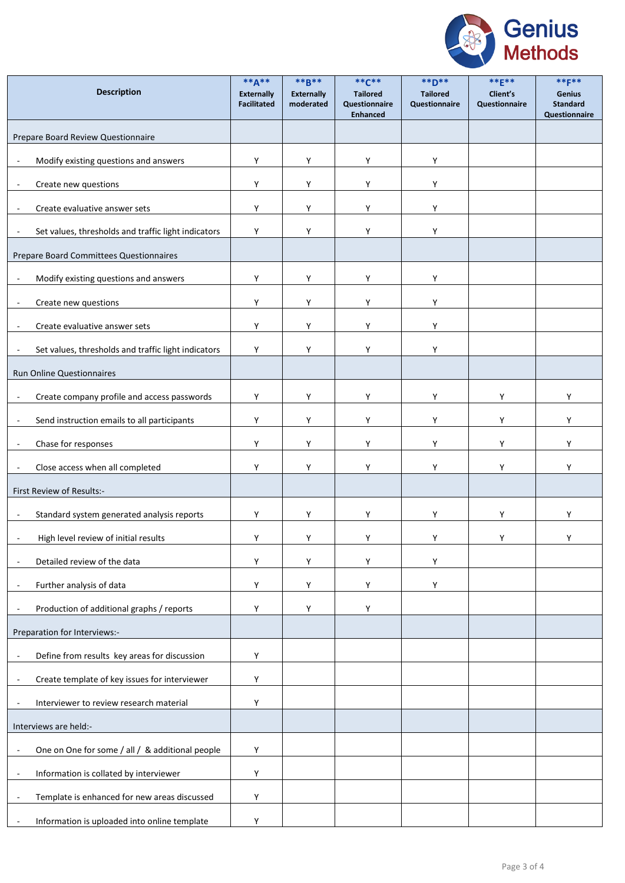

| <b>Description</b>                                                        | $**A**$<br><b>Externally</b><br><b>Facilitated</b> | $***B***$<br><b>Externally</b><br>moderated | $*$ * $C$ **<br><b>Tailored</b><br>Questionnaire<br><b>Enhanced</b> | $*$ <b>+</b><br><b>Tailored</b><br>Questionnaire | ** $E$ **<br>Client's<br>Questionnaire | $***F***$<br><b>Genius</b><br><b>Standard</b><br>Questionnaire |
|---------------------------------------------------------------------------|----------------------------------------------------|---------------------------------------------|---------------------------------------------------------------------|--------------------------------------------------|----------------------------------------|----------------------------------------------------------------|
| Prepare Board Review Questionnaire                                        |                                                    |                                             |                                                                     |                                                  |                                        |                                                                |
| Modify existing questions and answers<br>$\overline{\phantom{a}}$         | Υ                                                  | Y                                           | Y                                                                   | Υ                                                |                                        |                                                                |
| Create new questions<br>÷,                                                | Y                                                  | Y                                           | Y                                                                   | Υ                                                |                                        |                                                                |
| Create evaluative answer sets                                             | Y                                                  | Y                                           | Y                                                                   | Υ                                                |                                        |                                                                |
| Set values, thresholds and traffic light indicators                       | Y                                                  | Y                                           | Y                                                                   | Υ                                                |                                        |                                                                |
| Prepare Board Committees Questionnaires                                   |                                                    |                                             |                                                                     |                                                  |                                        |                                                                |
| Modify existing questions and answers<br>÷,                               | Υ                                                  | Y                                           | Y                                                                   | Υ                                                |                                        |                                                                |
| Create new questions                                                      | Υ                                                  | Y                                           | Y                                                                   | Υ                                                |                                        |                                                                |
| Create evaluative answer sets                                             | Υ                                                  | Y                                           | Y                                                                   | Υ                                                |                                        |                                                                |
| Set values, thresholds and traffic light indicators<br>$\overline{a}$     | Υ                                                  | Y                                           | Υ                                                                   | Υ                                                |                                        |                                                                |
| Run Online Questionnaires                                                 |                                                    |                                             |                                                                     |                                                  |                                        |                                                                |
| Create company profile and access passwords                               | Y                                                  | Y                                           | Y                                                                   | Y                                                | Y                                      | Υ                                                              |
| Send instruction emails to all participants<br>$\overline{\phantom{a}}$   | Y                                                  | Y                                           | Y                                                                   | Υ                                                | Y                                      | Υ                                                              |
| Chase for responses<br>÷,                                                 | $\mathsf Y$                                        | Y                                           | Y                                                                   | Υ                                                | Y                                      | Υ                                                              |
| Close access when all completed                                           | Y                                                  | Υ                                           | Υ                                                                   | Υ                                                | Υ                                      | Υ                                                              |
| First Review of Results:-                                                 |                                                    |                                             |                                                                     |                                                  |                                        |                                                                |
| Standard system generated analysis reports<br>÷,                          | Υ                                                  | Υ                                           | Υ                                                                   | Υ                                                | Υ                                      | Υ                                                              |
| High level review of initial results                                      | Υ                                                  | Υ                                           | Υ                                                                   | Υ                                                | Υ                                      | Υ                                                              |
| Detailed review of the data                                               | Υ                                                  | Y                                           | Υ                                                                   | Υ                                                |                                        |                                                                |
| Further analysis of data                                                  | Y                                                  | Y                                           | Y                                                                   | Υ                                                |                                        |                                                                |
| Production of additional graphs / reports                                 | Υ                                                  | Y                                           | Y                                                                   |                                                  |                                        |                                                                |
| Preparation for Interviews:-                                              |                                                    |                                             |                                                                     |                                                  |                                        |                                                                |
| Define from results key areas for discussion<br>÷,                        | Υ                                                  |                                             |                                                                     |                                                  |                                        |                                                                |
| Create template of key issues for interviewer<br>$\overline{\phantom{a}}$ | $\mathsf Y$                                        |                                             |                                                                     |                                                  |                                        |                                                                |
| Interviewer to review research material                                   | Υ                                                  |                                             |                                                                     |                                                  |                                        |                                                                |
| Interviews are held:-                                                     |                                                    |                                             |                                                                     |                                                  |                                        |                                                                |
| One on One for some / all / & additional people<br>÷,                     | Υ                                                  |                                             |                                                                     |                                                  |                                        |                                                                |
| Information is collated by interviewer                                    | $\mathsf Y$                                        |                                             |                                                                     |                                                  |                                        |                                                                |
| Template is enhanced for new areas discussed<br>$\overline{\phantom{a}}$  | Y                                                  |                                             |                                                                     |                                                  |                                        |                                                                |
| Information is uploaded into online template<br>$\overline{\phantom{a}}$  | Y                                                  |                                             |                                                                     |                                                  |                                        |                                                                |